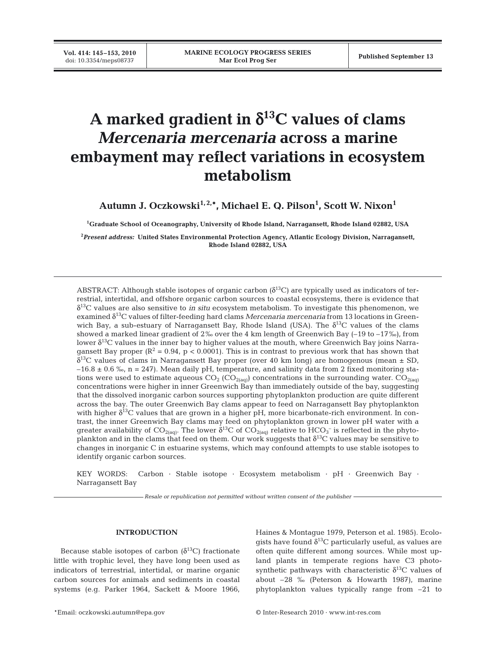# **A marked gradient in** δ**13C values of clams** *Mercenaria mercenaria* **across a marine embayment may reflect variations in ecosystem metabolism**

Autumn J. Oczkowski<sup>1,2,</sup>\*, Michael E. Q. Pilson<sup>1</sup>, Scott W. Nixon<sup>1</sup>

**1 Graduate School of Oceanography, University of Rhode Island, Narragansett, Rhode Island 02882, USA**

**2** *Present address:* **United States Environmental Protection Agency, Atlantic Ecology Division, Narragansett, Rhode Island 02882, USA**

ABSTRACT: Although stable isotopes of organic carbon ( $\delta^{13}$ C) are typically used as indicators of terrestrial, intertidal, and offshore organic carbon sources to coastal ecosystems, there is evidence that δ13C values are also sensitive to *in situ* ecosystem metabolism. To investigate this phenomenon, we examined δ13C values of filter-feeding hard clams *Mercenaria mercenaria* from 13 locations in Greenwich Bay, a sub-estuary of Narragansett Bay, Rhode Island (USA). The  $\delta^{13}C$  values of the clams showed a marked linear gradient of  $2\%$  over the 4 km length of Greenwich Bay (–19 to –17‰), from lower  $\delta^{13}$ C values in the inner bay to higher values at the mouth, where Greenwich Bay joins Narragansett Bay proper ( $\mathbb{R}^2 = 0.94$ ,  $p < 0.0001$ ). This is in contrast to previous work that has shown that  $\delta^{13}$ C values of clams in Narragansett Bay proper (over 40 km long) are homogenous (mean  $\pm$  SD,  $-16.8 \pm 0.6$  %, n = 247). Mean daily pH, temperature, and salinity data from 2 fixed monitoring stations were used to estimate aqueous  $CO_2 (CO_{2(aq)})$  concentrations in the surrounding water.  $CO_{2(aq)}$ concentrations were higher in inner Greenwich Bay than immediately outside of the bay, suggesting that the dissolved inorganic carbon sources supporting phytoplankton production are quite different across the bay. The outer Greenwich Bay clams appear to feed on Narragansett Bay phytoplankton with higher  $\delta^{13}$ C values that are grown in a higher pH, more bicarbonate-rich environment. In contrast, the inner Greenwich Bay clams may feed on phytoplankton grown in lower pH water with a greater availability of  $CO_{2(aq)}$ . The lower  $\delta^{13}C$  of  $CO_{2(aq)}$  relative to  $HCO_3^-$  is reflected in the phytoplankton and in the clams that feed on them. Our work suggests that  $\delta^{13}$ C values may be sensitive to changes in inorganic C in estuarine systems, which may confound attempts to use stable isotopes to identify organic carbon sources.

KEY WORDS: Carbon · Stable isotope · Ecosystem metabolism · pH · Greenwich Bay · Narragansett Bay

*Resale or republication not permitted without written consent of the publisher*

### **INTRODUCTION**

Because stable isotopes of carbon  $(\delta^{13}C)$  fractionate little with trophic level, they have long been used as indicators of terrestrial, intertidal, or marine organic carbon sources for animals and sediments in coastal systems (e.g. Parker 1964, Sackett & Moore 1966, Haines & Montague 1979, Peterson et al. 1985). Ecologists have found  $\delta^{13}$ C particularly useful, as values are often quite different among sources. While most upland plants in temperate regions have C3 photosynthetic pathways with characteristic  $\delta^{13}$ C values of about –28 ‰ (Peterson & Howarth 1987), marine phytoplankton values typically range from –21 to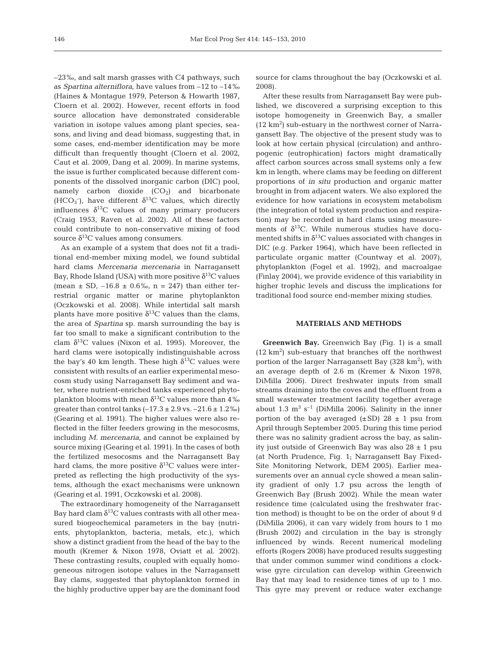–23‰, and salt marsh grasses with C4 pathways, such as *Spartina alterniflora*, have values from –12 to –14‰ (Haines & Montague 1979, Peterson & Howarth 1987, Cloern et al. 2002). However, recent efforts in food source allocation have demonstrated considerable variation in isotope values among plant species, seasons, and living and dead biomass, suggesting that, in some cases, end-member identification may be more difficult than frequently thought (Cloern et al. 2002, Caut et al. 2009, Dang et al. 2009). In marine systems, the issue is further complicated because different components of the dissolved inorganic carbon (DIC) pool, namely carbon dioxide  $(CO<sub>2</sub>)$  and bicarbonate (HCO<sub>3</sub><sup>-</sup>), have different  $\delta^{13}$ C values, which directly influences  $\delta^{13}$ C values of many primary producers (Craig 1953, Raven et al. 2002). All of these factors could contribute to non-conservative mixing of food source  $\delta^{13}$ C values among consumers.

As an example of a system that does not fit a traditional end-member mixing model, we found subtidal hard clams *Mercenaria mercenaria* in Narragansett Bay, Rhode Island (USA) with more positive  $\delta^{13}C$  values (mean  $\pm$  SD, -16.8  $\pm$  0.6‰, n = 247) than either terrestrial organic matter or marine phytoplankton (Oczkowski et al. 2008). While intertidal salt marsh plants have more positive  $\delta^{13}$ C values than the clams, the area of *Spartina* sp. marsh surrounding the bay is far too small to make a significant contribution to the clam  $\delta^{13}$ C values (Nixon et al. 1995). Moreover, the hard clams were isotopically indistinguishable across the bay's 40 km length. These high  $\delta^{13}$ C values were consistent with results of an earlier experimental mesocosm study using Narragansett Bay sediment and water, where nutrient-enriched tanks experienced phytoplankton blooms with mean  $\delta^{13}$ C values more than 4‰ greater than control tanks  $(-17.3 \pm 2.9 \text{ vs. } -21.6 \pm 1.2 \text{ %})$ (Gearing et al. 1991). The higher values were also reflected in the filter feeders growing in the mesocosms, including *M. mercenaria*, and cannot be explained by source mixing (Gearing et al. 1991). In the cases of both the fertilized mesocosms and the Narragansett Bay hard clams, the more positive  $\delta^{13}$ C values were interpreted as reflecting the high productivity of the systems, although the exact mechanisms were unknown (Gearing et al. 1991, Oczkowski et al. 2008).

The extraordinary homogeneity of the Narragansett Bay hard clam  $\delta^{13}$ C values contrasts with all other measured biogeochemical parameters in the bay (nutrients, phytoplankton, bacteria, metals, etc.), which show a distinct gradient from the head of the bay to the mouth (Kremer & Nixon 1978, Oviatt et al. 2002). These contrasting results, coupled with equally homogeneous nitrogen isotope values in the Narragansett Bay clams, suggested that phytoplankton formed in the highly productive upper bay are the dominant food source for clams throughout the bay (Oczkowski et al. 2008).

After these results from Narragansett Bay were published, we discovered a surprising exception to this isotope homogeneity in Greenwich Bay, a smaller  $(12 \text{ km}^2)$  sub-estuary in the northwest corner of Narragansett Bay. The objective of the present study was to look at how certain physical (circulation) and anthropogenic (eutrophication) factors might dramatically affect carbon sources across small systems only a few km in length, where clams may be feeding on different proportions of *in situ* production and organic matter brought in from adjacent waters. We also explored the evidence for how variations in ecosystem metabolism (the integration of total system production and respiration) may be recorded in hard clams using measurements of  $\delta^{13}$ C. While numerous studies have documented shifts in  $\delta^{13}$ C values associated with changes in DIC (e.g. Parker 1964), which have been reflected in particulate organic matter (Countway et al. 2007), phytoplankton (Fogel et al. 1992), and macroalgae (Finlay 2004), we provide evidence of this variability in higher trophic levels and discuss the implications for traditional food source end-member mixing studies.

## **MATERIALS AND METHODS**

**Greenwich Bay.** Greenwich Bay (Fig. 1) is a small  $(12 \text{ km}^2)$  sub-estuary that branches off the northwest portion of the larger Narragansett Bay (328 km<sup>2</sup>), with an average depth of 2.6 m (Kremer & Nixon 1978, DiMilla 2006). Direct freshwater inputs from small streams draining into the coves and the effluent from a small wastewater treatment facility together average about 1.3  $m^3 s^{-1}$  (DiMilla 2006). Salinity in the inner portion of the bay averaged  $(\pm SD)$  28  $\pm$  1 psu from April through September 2005. During this time period there was no salinity gradient across the bay, as salinity just outside of Greenwich Bay was also  $28 \pm 1$  psu (at North Prudence, Fig. 1; Narragansett Bay Fixed-Site Monitoring Network, DEM 2005). Earlier measurements over an annual cycle showed a mean salinity gradient of only 1.7 psu across the length of Greenwich Bay (Brush 2002). While the mean water residence time (calculated using the freshwater fraction method) is thought to be on the order of about 9 d (DiMilla 2006), it can vary widely from hours to 1 mo (Brush 2002) and circulation in the bay is strongly influenced by winds. Recent numerical modeling efforts (Rogers 2008) have produced results suggesting that under common summer wind conditions a clockwise gyre circulation can develop within Greenwich Bay that may lead to residence times of up to 1 mo. This gyre may prevent or reduce water exchange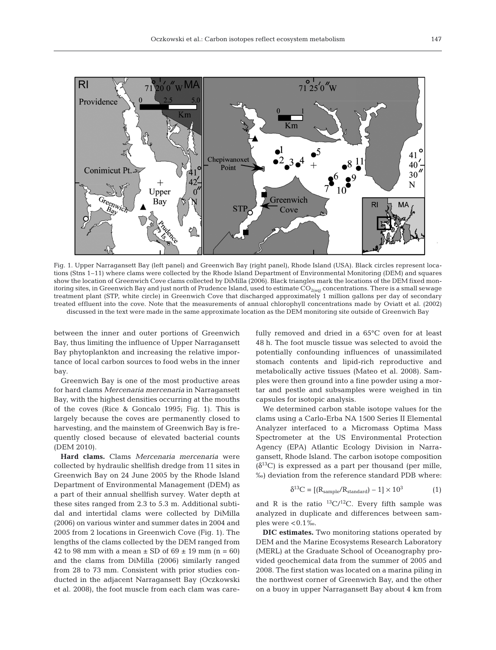

Fig. 1. Upper Narragansett Bay (left panel) and Greenwich Bay (right panel), Rhode Island (USA). Black circles represent locations (Stns 1–11) where clams were collected by the Rhode Island Department of Environmental Monitoring (DEM) and squares show the location of Greenwich Cove clams collected by DiMilla (2006). Black triangles mark the locations of the DEM fixed monitoring sites, in Greenwich Bay and just north of Prudence Island, used to estimate  $CO_{2(aq)}$  concentrations. There is a small sewage treatment plant (STP, white circle) in Greenwich Cove that discharged approximately 1 million gallons per day of secondary treated effluent into the cove. Note that the measurements of annual chlorophyll concentrations made by Oviatt et al. (2002) discussed in the text were made in the same approximate location as the DEM monitoring site outside of Greenwich Bay

between the inner and outer portions of Greenwich Bay, thus limiting the influence of Upper Narragansett Bay phytoplankton and increasing the relative importance of local carbon sources to food webs in the inner bay.

Greenwich Bay is one of the most productive areas for hard clams *Mercenaria mercenaria* in Narragansett Bay, with the highest densities occurring at the mouths of the coves (Rice & Goncalo 1995; Fig. 1). This is largely because the coves are permanently closed to harvesting, and the mainstem of Greenwich Bay is frequently closed because of elevated bacterial counts (DEM 2010).

**Hard clams.** Clams *Mercenaria mercenaria* were collected by hydraulic shellfish dredge from 11 sites in Greenwich Bay on 24 June 2005 by the Rhode Island Department of Environmental Management (DEM) as a part of their annual shellfish survey. Water depth at these sites ranged from 2.3 to 5.3 m. Additional subtidal and intertidal clams were collected by DiMilla (2006) on various winter and summer dates in 2004 and 2005 from 2 locations in Greenwich Cove (Fig. 1). The lengths of the clams collected by the DEM ranged from 42 to 98 mm with a mean  $\pm$  SD of 69  $\pm$  19 mm (n = 60) and the clams from DiMilla (2006) similarly ranged from 28 to 73 mm. Consistent with prior studies conducted in the adjacent Narragansett Bay (Oczkowski et al. 2008), the foot muscle from each clam was carefully removed and dried in a 65°C oven for at least 48 h. The foot muscle tissue was selected to avoid the potentially confounding influences of unassimilated stomach contents and lipid-rich reproductive and metabolically active tissues (Mateo et al. 2008). Samples were then ground into a fine powder using a mortar and pestle and subsamples were weighed in tin capsules for isotopic analysis.

We determined carbon stable isotope values for the clams using a Carlo-Erba NA 1500 Series II Elemental Analyzer interfaced to a Micromass Optima Mass Spectrometer at the US Environmental Protection Agency (EPA) Atlantic Ecology Division in Narragansett, Rhode Island. The carbon isotope composition  $(\delta^{13}C)$  is expressed as a part per thousand (per mille, ‰) deviation from the reference standard PDB where:

$$
\delta^{13}C = \left[ (R_{sample}/R_{standard}) - 1 \right] \times 10^3 \tag{1}
$$

and R is the ratio  ${}^{13}C/{}^{12}C$ . Every fifth sample was analyzed in duplicate and differences between samples were  $< 0.1 %$ .

**DIC estimates.** Two monitoring stations operated by DEM and the Marine Ecosystems Research Laboratory (MERL) at the Graduate School of Oceanography provided geochemical data from the summer of 2005 and 2008. The first station was located on a marina piling in the northwest corner of Greenwich Bay, and the other on a buoy in upper Narragansett Bay about 4 km from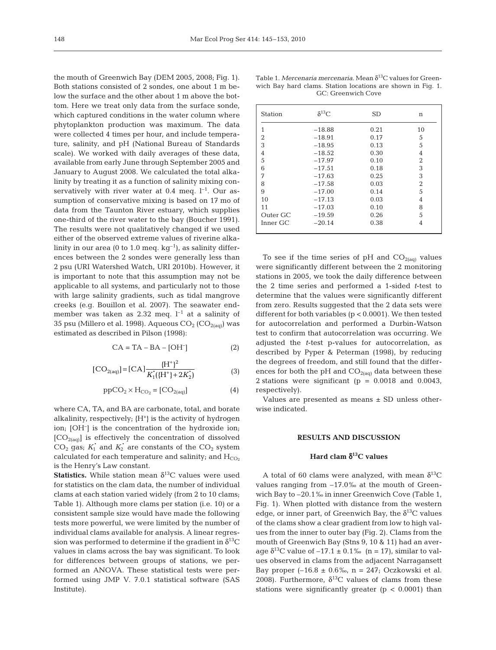the mouth of Greenwich Bay (DEM 2005, 2008; Fig. 1). Both stations consisted of 2 sondes, one about 1 m below the surface and the other about 1 m above the bottom. Here we treat only data from the surface sonde, which captured conditions in the water column where phytoplankton production was maximum. The data were collected 4 times per hour, and include temperature, salinity, and pH (National Bureau of Standards scale). We worked with daily averages of these data, available from early June through September 2005 and January to August 2008. We calculated the total alkalinity by treating it as a function of salinity mixing conservatively with river water at 0.4 meg.  $l^{-1}$ . Our assumption of conservative mixing is based on 17 mo of data from the Taunton River estuary, which supplies one-third of the river water to the bay (Boucher 1991). The results were not qualitatively changed if we used either of the observed extreme values of riverine alkalinity in our area (0 to 1.0 meq.  $kg^{-1}$ ), as salinity differences between the 2 sondes were generally less than 2 psu (URI Watershed Watch, URI 2010b). However, it is important to note that this assumption may not be applicable to all systems, and particularly not to those with large salinity gradients, such as tidal mangrove creeks (e.g. Bouillon et al. 2007). The seawater endmember was taken as 2.32 meq.  $l^{-1}$  at a salinity of 35 psu (Millero et al. 1998). Aqueous  $CO_2$  ( $CO_{2(aq)}$ ) was estimated as described in Pilson (1998):

$$
CA = TA - BA - [OH-] \tag{2}
$$

$$
[\text{CO}_{2(\text{aq})}] = [\text{CA}] \frac{\{\text{H}^+\}^2}{K_1'(\{\text{H}^+\} + 2K_2')} \tag{3}
$$

$$
ppCO_2 \times H_{CO_2} = [CO_{2(aq)}]
$$
 (4)

where CA, TA, and BA are carbonate, total, and borate alkalinity, respectively;  ${H^+}$  is the activity of hydrogen ion; [OH– ] is the concentration of the hydroxide ion;  $[CO_{2(aq)}]$  is effectively the concentration of dissolved  $CO<sub>2</sub>$  gas;  $K<sub>1</sub><sup>*</sup>$  and  $K<sub>2</sub><sup>*</sup>$  are constants of the  $CO<sub>2</sub>$  system calculated for each temperature and salinity; and  $H_{CO<sub>2</sub>}$ is the Henry's Law constant.

**Statistics.** While station mean  $\delta^{13}$ C values were used for statistics on the clam data, the number of individual clams at each station varied widely (from 2 to 10 clams; Table 1). Although more clams per station (i.e. 10) or a consistent sample size would have made the following tests more powerful, we were limited by the number of individual clams available for analysis. A linear regression was performed to determine if the gradient in  $\delta^{13}C$ values in clams across the bay was significant. To look for differences between groups of stations, we performed an ANOVA. These statistical tests were performed using JMP V. 7.0.1 statistical software (SAS Institute).

|  |  | Table 1. Mercenaria mercenaria. Mean $\delta^{13}$ C values for Green- |  |  |  |
|--|--|------------------------------------------------------------------------|--|--|--|
|  |  | wich Bay hard clams. Station locations are shown in Fig. 1.            |  |  |  |
|  |  | GC: Greenwich Cove                                                     |  |  |  |

| Station  | $\delta^{13}C$ | <b>SD</b> | n              |
|----------|----------------|-----------|----------------|
| 1        | $-18.88$       | 0.21      | 10             |
| 2        | $-18.91$       | 0.17      | 5              |
| 3        | $-18.95$       | 0.13      | 5              |
| 4        | $-18.52$       | 0.30      | 4              |
| 5        | $-17.97$       | 0.10      | 2              |
| 6        | $-17.51$       | 0.18      | 3              |
| 7        | $-17.63$       | 0.25      | 3              |
| 8        | $-17.58$       | 0.03      | $\overline{2}$ |
| 9        | $-17.00$       | 0.14      | 5              |
| 10       | $-17.13$       | 0.03      | 4              |
| 11       | $-17.03$       | 0.10      | 8              |
| Outer GC | $-19.59$       | 0.26      | 5              |
| Inner GC | $-20.14$       | 0.38      | 4              |

To see if the time series of pH and  $CO<sub>2(aq)</sub>$  values were significantly different between the 2 monitoring stations in 2005, we took the daily difference between the 2 time series and performed a 1-sided *t*-test to determine that the values were significantly different from zero. Results suggested that the 2 data sets were different for both variables (p < 0.0001). We then tested for autocorrelation and performed a Durbin-Watson test to confirm that autocorrelation was occurring. We adjusted the *t*-test p-values for autocorrelation, as described by Pyper & Peterman (1998), by reducing the degrees of freedom, and still found that the differences for both the pH and  $CO_{2(aq)}$  data between these 2 stations were significant ( $p = 0.0018$  and 0.0043, respectively).

Values are presented as means ± SD unless otherwise indicated.

## **RESULTS AND DISCUSSION**

# **Hard clam** δ**13C values**

A total of 60 clams were analyzed, with mean  $\delta^{13}C$ values ranging from –17.0‰ at the mouth of Greenwich Bay to –20.1‰ in inner Greenwich Cove (Table 1, Fig. 1). When plotted with distance from the western edge, or inner part, of Greenwich Bay, the  $\delta^{13}$ C values of the clams show a clear gradient from low to high values from the inner to outer bay (Fig. 2). Clams from the mouth of Greenwich Bay (Stns 9, 10 & 11) had an average  $\delta^{13}$ C value of  $-17.1 \pm 0.1\%$  (n = 17), similar to values observed in clams from the adjacent Narragansett Bay proper  $(-16.8 \pm 0.6\%$ , n = 247; Oczkowski et al. 2008). Furthermore,  $\delta^{13}$ C values of clams from these stations were significantly greater ( $p < 0.0001$ ) than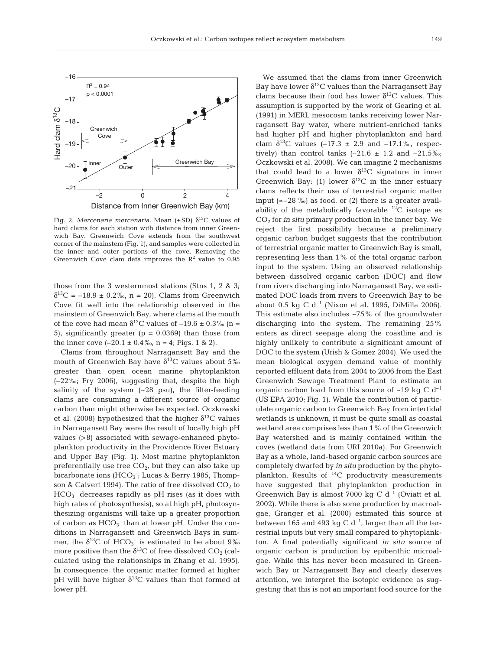

Fig. 2. *Mercenaria mercenaria*. Mean (±SD)  $δ<sup>13</sup>C$  values of hard clams for each station with distance from inner Greenwich Bay. Greenwich Cove extends from the southwest corner of the mainstem (Fig. 1), and samples were collected in the inner and outer portions of the cove. Removing the Greenwich Cove clam data improves the  $R^2$  value to 0.95

those from the 3 westernmost stations (Stns 1, 2 & 3;  $\delta^{13}C = -18.9 \pm 0.2\%$ , n = 20). Clams from Greenwich Cove fit well into the relationship observed in the mainstem of Greenwich Bay, where clams at the mouth of the cove had mean  $\delta^{13}$ C values of  $-19.6 \pm 0.3\%$  (n = 5), significantly greater ( $p = 0.0369$ ) than those from the inner cove  $(-20.1 \pm 0.4\%$ , n = 4; Figs. 1 & 2).

Clams from throughout Narragansett Bay and the mouth of Greenwich Bay have  $\delta^{13}$ C values about 5‰ greater than open ocean marine phytoplankton (–22‰; Fry 2006), suggesting that, despite the high salinity of the system  $(-28 \text{ psu})$ , the filter-feeding clams are consuming a different source of organic carbon than might otherwise be expected. Oczkowski et al. (2008) hypothesized that the higher  $\delta^{13}C$  values in Narragansett Bay were the result of locally high pH values (>8) associated with sewage-enhanced phytoplankton productivity in the Providence River Estuary and Upper Bay (Fig. 1). Most marine phytoplankton preferentially use free  $CO<sub>2</sub>$ , but they can also take up bicarbonate ions  $(HCO<sub>3</sub><sup>-</sup>; Lucas & Berry 1985, Thompson$ son & Calvert 1994). The ratio of free dissolved  $CO<sub>2</sub>$  to HCO<sub>3</sub><sup>-</sup> decreases rapidly as pH rises (as it does with high rates of photosynthesis), so at high pH, photosynthesizing organisms will take up a greater proportion of carbon as  $HCO_3^-$  than at lower pH. Under the conditions in Narragansett and Greenwich Bays in summer, the  $\delta^{13}C$  of  $HCO_3^-$  is estimated to be about 9‰ more positive than the  $\delta^{13}$ C of free dissolved CO<sub>2</sub> (calculated using the relationships in Zhang et al. 1995). In consequence, the organic matter formed at higher pH will have higher  $\delta^{13}$ C values than that formed at lower pH.

We assumed that the clams from inner Greenwich Bay have lower  $\delta^{13}$ C values than the Narragansett Bay clams because their food has lower  $\delta^{13}$ C values. This assumption is supported by the work of Gearing et al. (1991) in MERL mesocosm tanks receiving lower Narragansett Bay water, where nutrient-enriched tanks had higher pH and higher phytoplankton and hard clam  $\delta^{13}$ C values (–17.3 ± 2.9 and –17.1‰, respectively) than control tanks  $(-21.6 \pm 1.2 \text{ and } -21.5\%$ ; Oczkowski et al. 2008). We can imagine 2 mechanisms that could lead to a lower  $\delta^{13}$ C signature in inner Greenwich Bay: (1) lower  $\delta^{13}$ C in the inner estuary clams reflects their use of terrestrial organic matter input ( $\approx$  –28 ‰) as food, or (2) there is a greater availability of the metabolically favorable  $^{12}$ C isotope as CO2 for *in situ* primary production in the inner bay. We reject the first possibility because a preliminary organic carbon budget suggests that the contribution of terrestrial organic matter to Greenwich Bay is small, representing less than 1% of the total organic carbon input to the system. Using an observed relationship between dissolved organic carbon (DOC) and flow from rivers discharging into Narragansett Bay, we estimated DOC loads from rivers to Greenwich Bay to be about 0.5 kg C  $d^{-1}$  (Nixon et al. 1995, DiMilla 2006). This estimate also includes  $~15\%$  of the groundwater discharging into the system. The remaining 25% enters as direct seepage along the coastline and is highly unlikely to contribute a significant amount of DOC to the system (Urish & Gomez 2004). We used the mean biological oxygen demand value of monthly reported effluent data from 2004 to 2006 from the East Greenwich Sewage Treatment Plant to estimate an organic carbon load from this source of  $\sim$ 19 kg C d<sup>-1</sup> (US EPA 2010; Fig. 1). While the contribution of particulate organic carbon to Greenwich Bay from intertidal wetlands is unknown, it must be quite small as coastal wetland area comprises less than 1% of the Greenwich Bay watershed and is mainly contained within the coves (wetland data from URI 2010a). For Greenwich Bay as a whole, land-based organic carbon sources are completely dwarfed by *in situ* production by the phytoplankton. Results of  $^{14}C$  productivity measurements have suggested that phytoplankton production in Greenwich Bay is almost 7000 kg C  $d^{-1}$  (Oviatt et al. 2002). While there is also some production by macroalgae, Granger et al. (2000) estimated this source at between 165 and 493 kg C  $d^{-1}$ , larger than all the terrestrial inputs but very small compared to phytoplankton. A final potentially significant *in situ* source of organic carbon is production by epibenthic microalgae. While this has never been measured in Greenwich Bay or Narragansett Bay and clearly deserves attention, we interpret the isotopic evidence as suggesting that this is not an important food source for the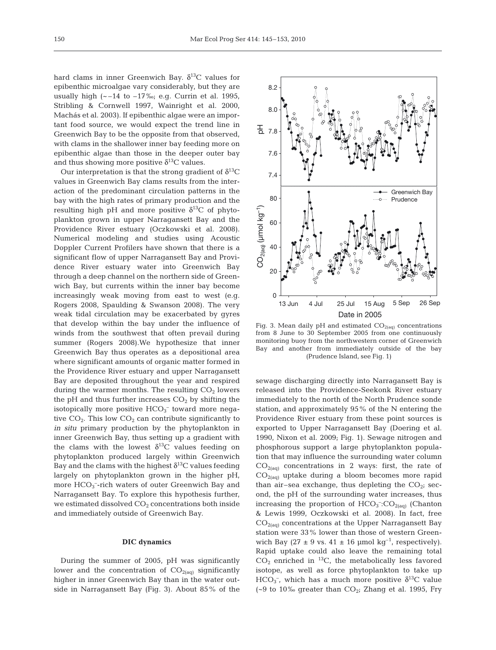hard clams in inner Greenwich Bay.  $\delta^{13}$ C values for epibenthic microalgae vary considerably, but they are usually high  $(-14 \text{ to } -17\%; e.g.$  Currin et al. 1995, Stribling & Cornwell 1997, Wainright et al. 2000, Machás et al. 2003). If epibenthic algae were an important food source, we would expect the trend line in Greenwich Bay to be the opposite from that observed, with clams in the shallower inner bay feeding more on epibenthic algae than those in the deeper outer bay and thus showing more positive  $\delta^{13}$ C values.

Our interpretation is that the strong gradient of  $\delta^{13}C$ values in Greenwich Bay clams results from the interaction of the predominant circulation patterns in the bay with the high rates of primary production and the resulting high pH and more positive  $\delta^{13}$ C of phytoplankton grown in upper Narragansett Bay and the Providence River estuary (Oczkowski et al. 2008). Numerical modeling and studies using Acoustic Doppler Current Profilers have shown that there is a significant flow of upper Narragansett Bay and Providence River estuary water into Greenwich Bay through a deep channel on the northern side of Greenwich Bay, but currents within the inner bay become increasingly weak moving from east to west (e.g. Rogers 2008, Spaulding & Swanson 2008). The very weak tidal circulation may be exacerbated by gyres that develop within the bay under the influence of winds from the southwest that often prevail during summer (Rogers 2008).We hypothesize that inner Greenwich Bay thus operates as a depositional area where significant amounts of organic matter formed in the Providence River estuary and upper Narragansett Bay are deposited throughout the year and respired during the warmer months. The resulting  $CO<sub>2</sub>$  lowers the pH and thus further increases  $CO<sub>2</sub>$  by shifting the isotopically more positive  $\mathrm{HCO_3}^-$  toward more negative  $CO<sub>2</sub>$ . This low  $CO<sub>2</sub>$  can contribute significantly to *in situ* primary production by the phytoplankton in inner Greenwich Bay, thus setting up a gradient with the clams with the lowest  $\delta^{13}$ C values feeding on phytoplankton produced largely within Greenwich Bay and the clams with the highest  $\delta^{13}$ C values feeding largely on phytoplankton grown in the higher pH, more  $\text{HCO}_3$ <sup>-</sup>-rich waters of outer Greenwich Bay and Narragansett Bay. To explore this hypothesis further, we estimated dissolved  $CO<sub>2</sub>$  concentrations both inside and immediately outside of Greenwich Bay.

#### **DIC dynamics**

During the summer of 2005, pH was significantly lower and the concentration of  $CO<sub>2(aq)</sub>$  significantly higher in inner Greenwich Bay than in the water outside in Narragansett Bay (Fig. 3). About 85% of the



Fig. 3. Mean daily pH and estimated  $CO_{2(aq)}$  concentrations from 8 June to 30 September 2005 from one continuously monitoring buoy from the northwestern corner of Greenwich Bay and another from immediately outside of the bay (Prudence Island, see Fig. 1)

sewage discharging directly into Narragansett Bay is released into the Providence-Seekonk River estuary immediately to the north of the North Prudence sonde station, and approximately 95% of the N entering the Providence River estuary from these point sources is exported to Upper Narragansett Bay (Doering et al. 1990, Nixon et al. 2009; Fig. 1). Sewage nitrogen and phosphorous support a large phytoplankton population that may influence the surrounding water column  $CO<sub>2(aq)</sub>$  concentrations in 2 ways: first, the rate of  $CO<sub>2(aq)</sub>$  uptake during a bloom becomes more rapid than air–sea exchange, thus depleting the  $CO<sub>2</sub>$ ; second, the pH of the surrounding water increases, thus increasing the proportion of  $HCO<sub>3</sub><sup>-</sup>:CO<sub>2(aq)</sub>$  (Chanton & Lewis 1999, Oczkowski et al. 2008). In fact, free  $CO<sub>2(aq)</sub>$  concentrations at the Upper Narragansett Bay station were 33% lower than those of western Greenwich Bay (27  $\pm$  9 vs. 41  $\pm$  16 µmol kg<sup>-1</sup>, respectively). Rapid uptake could also leave the remaining total  $CO<sub>2</sub>$  enriched in <sup>13</sup>C, the metabolically less favored isotope, as well as force phytoplankton to take up HCO<sub>3</sub><sup>-</sup>, which has a much more positive  $\delta^{13}$ C value (~9 to 10‰ greater than  $CO_{2i}$ ; Zhang et al. 1995, Fry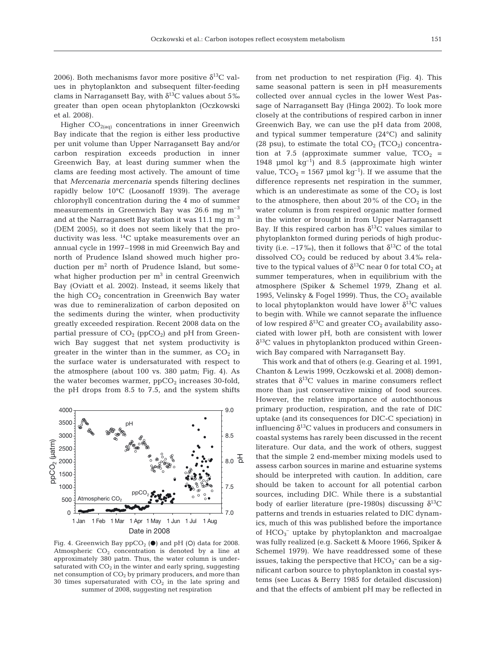2006). Both mechanisms favor more positive  $\delta^{13}C$  values in phytoplankton and subsequent filter-feeding clams in Narragansett Bay, with  $\delta^{13}$ C values about 5‰ greater than open ocean phytoplankton (Oczkowski et al. 2008).

Higher  $CO<sub>2(aq)</sub>$  concentrations in inner Greenwich Bay indicate that the region is either less productive per unit volume than Upper Narragansett Bay and/or carbon respiration exceeds production in inner Greenwich Bay, at least during summer when the clams are feeding most actively. The amount of time that *Mercenaria mercenaria* spends filtering declines rapidly below 10°C (Loosanoff 1939). The average chlorophyll concentration during the 4 mo of summer measurements in Greenwich Bay was  $26.6$  mg m<sup>-3</sup> and at the Narragansett Bay station it was 11.1 mg  $m^{-3}$ (DEM 2005), so it does not seem likely that the productivity was less.  ${}^{14}C$  uptake measurements over an annual cycle in 1997–1998 in mid Greenwich Bay and north of Prudence Island showed much higher production per m<sup>2</sup> north of Prudence Island, but somewhat higher production per  $m<sup>3</sup>$  in central Greenwich Bay (Oviatt et al. 2002). Instead, it seems likely that the high  $CO<sub>2</sub>$  concentration in Greenwich Bay water was due to remineralization of carbon deposited on the sediments during the winter, when productivity greatly exceeded respiration. Recent 2008 data on the partial pressure of  $CO<sub>2</sub>$  (ppCO<sub>2</sub>) and pH from Greenwich Bay suggest that net system productivity is greater in the winter than in the summer, as  $CO<sub>2</sub>$  in the surface water is undersaturated with respect to the atmosphere (about 100 vs. 380 µatm; Fig. 4). As the water becomes warmer,  $ppCO<sub>2</sub>$  increases 30-fold, the pH drops from 8.5 to 7.5, and the system shifts



Fig. 4. Greenwich Bay  $ppCO<sub>2</sub>(**•**)$  and pH (O) data for 2008. Atmospheric  $CO<sub>2</sub>$  concentration is denoted by a line at approximately 380 µatm. Thus, the water column is undersaturated with  $CO<sub>2</sub>$  in the winter and early spring, suggesting net consumption of  $CO<sub>2</sub>$  by primary producers, and more than 30 times supersaturated with  $CO<sub>2</sub>$  in the late spring and summer of 2008, suggesting net respiration

from net production to net respiration (Fig. 4). This same seasonal pattern is seen in pH measurements collected over annual cycles in the lower West Passage of Narragansett Bay (Hinga 2002). To look more closely at the contributions of respired carbon in inner Greenwich Bay, we can use the pH data from 2008, and typical summer temperature (24°C) and salinity (28 psu), to estimate the total  $CO_2$  (TCO<sub>2</sub>) concentration at 7.5 (approximate summer value,  $TCO<sub>2</sub>$  = 1948 µmol  $kq^{-1}$  and 8.5 (approximate high winter value,  $TCO_2 = 1567$  µmol kg<sup>-1</sup>). If we assume that the difference represents net respiration in the summer, which is an underestimate as some of the  $CO<sub>2</sub>$  is lost to the atmosphere, then about 20% of the  $CO<sub>2</sub>$  in the water column is from respired organic matter formed in the winter or brought in from Upper Narragansett Bay. If this respired carbon has  $\delta^{13}$ C values similar to phytoplankton formed during periods of high productivity (i.e.  $-17\%$ ), then it follows that  $\delta^{13}C$  of the total dissolved  $CO<sub>2</sub>$  could be reduced by about 3.4‰ relative to the typical values of  $\delta^{13}$ C near 0 for total CO<sub>2</sub> at summer temperatures, when in equilibrium with the atmosphere (Spiker & Schemel 1979, Zhang et al. 1995, Velinsky & Fogel 1999). Thus, the  $CO<sub>2</sub>$  available to local phytoplankton would have lower  $\delta^{13}$ C values to begin with. While we cannot separate the influence of low respired  $\delta^{13}$ C and greater CO<sub>2</sub> availability associated with lower pH, both are consistent with lower  $\delta^{13}$ C values in phytoplankton produced within Greenwich Bay compared with Narragansett Bay.

This work and that of others (e.g. Gearing et al. 1991, Chanton & Lewis 1999, Oczkowski et al. 2008) demonstrates that  $\delta^{13}$ C values in marine consumers reflect more than just conservative mixing of food sources. However, the relative importance of autochthonous primary production, respiration, and the rate of DIC uptake (and its consequences for DIC-C speciation) in influencing  $\delta^{13}$ C values in producers and consumers in coastal systems has rarely been discussed in the recent literature. Our data, and the work of others, suggest that the simple 2 end-member mixing models used to assess carbon sources in marine and estuarine systems should be interpreted with caution. In addition, care should be taken to account for all potential carbon sources, including DIC. While there is a substantial body of earlier literature (pre-1980s) discussing  $\delta^{13}C$ patterns and trends in estuaries related to DIC dynamics, much of this was published before the importance of  $HCO_3^-$  uptake by phytoplankton and macroalgae was fully realized (e.g. Sackett & Moore 1966, Spiker & Schemel 1979). We have readdressed some of these issues, taking the perspective that  $HCO_3^-$  can be a significant carbon source to phytoplankton in coastal systems (see Lucas & Berry 1985 for detailed discussion) and that the effects of ambient pH may be reflected in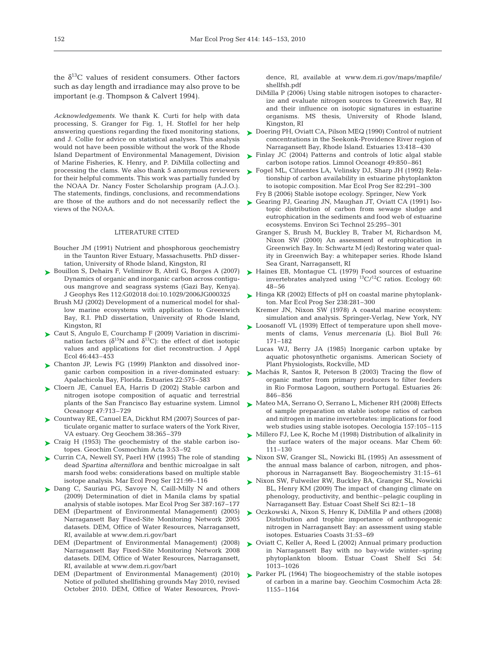the  $\delta^{13}$ C values of resident consumers. Other factors such as day length and irradiance may also prove to be important (e.g. Thompson & Calvert 1994).

*Acknowledgements.* We thank K. Curti for help with data processing, S. Granger for Fig. 1, H. Stoffel for her help answering questions regarding the fixed monitoring stations, and J. Collie for advice on statistical analyses. This analysis would not have been possible without the work of the Rhode Island Department of Environmental Management, Division of Marine Fisheries, K. Henry, and P. DiMilla collecting and processing the clams. We also thank 5 anonymous reviewers for their helpful comments. This work was partially funded by the NOAA Dr. Nancy Foster Scholarship program (A.J.O.). The statements, findings, conclusions, and recommendations are those of the authors and do not necessarily reflect the views of the NOAA.

# LITERATURE CITED

- Boucher JM (1991) Nutrient and phosphorous geochemistry in the Taunton River Estuary, Massachusetts. PhD dissertation, University of Rhode Island, Kingston, RI
- ► Bouillon S, Dehairs F, Velimirov B, Abril G, Borges A (2007) Dynamics of organic and inorganic carbon across contiguous mangrove and seagrass systems (Gazi Bay, Kenya). J Geophys Res 112:G02018 doi:10.1029/2006JG000325
	- Brush MJ (2002) Development of a numerical model for shallow marine ecosystems with application to Greenwich Bay, R.I. PhD dissertation, University of Rhode Island, Kingston, RI
- ► Caut S, Angulo E, Courchamp F (2009) Variation in discrimination factors ( $\delta^{15}N$  and  $\delta^{13}C$ ): the effect of diet isotopic values and applications for diet reconstruction. J Appl Ecol 46:443–453
- ► Chanton JP, Lewis FG (1999) Plankton and dissolved inorganic carbon composition in a river-dominated estuary: Apalachicola Bay, Florida. Estuaries 22:575–583
- ► Cloern JE, Canuel EA, Harris D (2002) Stable carbon and nitrogen isotope composition of aquatic and terrestrial plants of the San Francisco Bay estuarine system. Limnol Oceanogr 47:713–729
- ► Countway RE, Canuel EA, Dickhut RM (2007) Sources of particulate organic matter to surface waters of the York River, VA estuary. Org Geochem 38:365–379
- ► Craig H (1953) The geochemistry of the stable carbon isotopes. Geochim Cosmochim Acta 3:53–92
- ► Currin CA, Newell SY, Paerl HW (1995) The role of standing dead *Spartina alterniflora* and benthic microalgae in salt marsh food webs: considerations based on multiple stable isotope analysis. Mar Ecol Prog Ser 121:99–116
- ▶ Dang C, Sauriau PG, Savoye N, Caill-Milly N and others (2009) Determination of diet in Manila clams by spatial analysis of stable isotopes. Mar Ecol Prog Ser 387:167–177
	- DEM (Department of Environmental Management) (2005) Narragansett Bay Fixed-Site Monitoring Network 2005 datasets. DEM, Office of Water Resources, Narragansett, RI, available at www.dem.ri.gov/bart
	- DEM (Department of Environmental Management) (2008) Narragansett Bay Fixed-Site Monitoring Network 2008 datasets. DEM, Office of Water Resources, Narragansett, RI, available at www.dem.ri.gov/bart
	- DEM (Department of Environmental Management) (2010) Notice of polluted shellfishing grounds May 2010, revised October 2010. DEM, Office of Water Resources, Provi-

dence, RI, available at www.dem.ri.gov/maps/mapfile/ shellfsh.pdf

- DiMilla P (2006) Using stable nitrogen isotopes to characterize and evaluate nitrogen sources to Greenwich Bay, RI and their influence on isotopic signatures in estuarine organisms. MS thesis, University of Rhode Island, Kingston, RI
- ► Doering PH, Oviatt CA, Pilson MEQ (1990) Control of nutrient concentrations in the Seekonk-Providence River region of Narragansett Bay, Rhode Island. Estuaries 13:418–430
- ► Finlay JC (2004) Patterns and controls of lotic algal stable carbon isotope ratios. Limnol Oceanogr 49:850–861
- ► Fogel ML, Cifuentes LA, Velinsky DJ, Sharp JH (1992) Relationship of carbon availability in estuarine phytoplankton to isotopic composition. Mar Ecol Prog Ser 82:291–300 Fry B (2006) Stable isotope ecology. Springer, New York
	-
- ► Gearing PJ, Gearing JN, Maughan JT, Oviatt CA (1991) Isotopic distribution of carbon from sewage sludge and eutrophication in the sediments and food web of estuarine ecosystems. Environ Sci Technol 25:295–301
	- Granger S, Brush M, Buckley B, Traber M, Richardson M, Nixon SW (2000) An assessment of eutrophication in Greenwich Bay. In: Schwartz M (ed) Restoring water quality in Greenwich Bay: a whitepaper series. Rhode Island Sea Grant, Narragansett, RI
- ► Haines EB, Montague CL (1979) Food sources of estuarine invertebrates analyzed using  ${}^{13}$ C/ ${}^{12}$ C ratios. Ecology 60: 48–56
- ► Hinga KR (2002) Effects of pH on coastal marine phytoplankton. Mar Ecol Prog Ser 238:281–300
	- Kremer JN, Nixon SW (1978) A coastal marine ecosystem: simulation and analysis. Springer-Verlag, New York, NY
- ► Loosanoff VL (1939) Effect of temperature upon shell movements of clams, *Venus mercenaria* (L). Biol Bull 76: 171–182
	- Lucas WJ, Berry JA (1985) Inorganic carbon uptake by aquatic photosynthetic organisms. American Society of Plant Physiologists, Rockville, MD
- ► Machás R, Santos R, Peterson B (2003) Tracing the flow of organic matter from primary producers to filter feeders in Rio Formosa Lagoon, southern Portugal. Estuaries 26: 846–856
- ► Mateo MA, Serrano O, Serrano L, Michener RH (2008) Effects of sample preparation on stable isotope ratios of carbon and nitrogen in marine invertebrates: implications for food web studies using stable isotopes. Oecologia 157:105–115
- ► Millero FJ, Lee K, Roche M (1998) Distribution of alkalinity in the surface waters of the major oceans. Mar Chem 60: 111–130
- ► Nixon SW, Granger SL, Nowicki BL (1995) An assessment of the annual mass balance of carbon, nitrogen, and phosphorous in Narragansett Bay. Biogeochemistry 31:15–61
- ► Nixon SW, Fulweiler RW, Buckley BA, Granger SL, Nowicki BL, Henry KM (2009) The impact of changing climate on phenology, productivity, and benthic–pelagic coupling in Narragansett Bay. Estuar Coast Shelf Sci 82:1–18
- ▶ Oczkowski A, Nixon S, Henry K, DiMilla P and others (2008) Distribution and trophic importance of anthropogenic nitrogen in Narragansett Bay: an assessment using stable isotopes. Estuaries Coasts 31:53–69
- ► Oviatt C, Keller A, Reed L (2002) Annual primary production in Narragansett Bay with no bay-wide winter–spring phytoplankton bloom. Estuar Coast Shelf Sci 54: 1013–1026
- ▶ Parker PL (1964) The biogeochemistry of the stable isotopes of carbon in a marine bay. Geochim Cosmochim Acta 28: 1155–1164